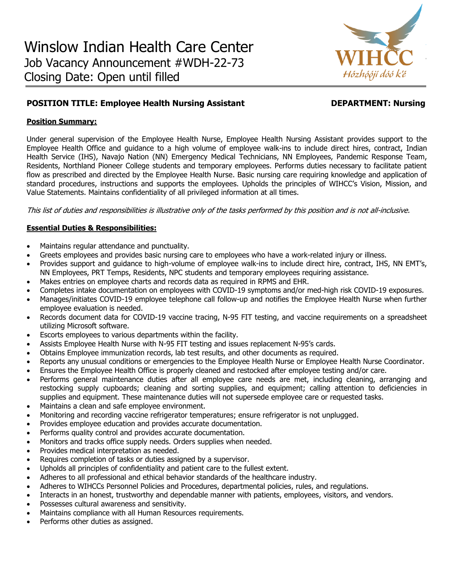

# **POSITION TITLE: Employee Health Nursing Assistant Medicine DEPARTMENT: Nursing**

# **Position Summary:**

Under general supervision of the Employee Health Nurse, Employee Health Nursing Assistant provides support to the Employee Health Office and guidance to a high volume of employee walk-ins to include direct hires, contract, Indian Health Service (IHS), Navajo Nation (NN) Emergency Medical Technicians, NN Employees, Pandemic Response Team, Residents, Northland Pioneer College students and temporary employees. Performs duties necessary to facilitate patient flow as prescribed and directed by the Employee Health Nurse. Basic nursing care requiring knowledge and application of standard procedures, instructions and supports the employees. Upholds the principles of WIHCC's Vision, Mission, and Value Statements. Maintains confidentiality of all privileged information at all times.

This list of duties and responsibilities is illustrative only of the tasks performed by this position and is not all-inclusive.

# **Essential Duties & Responsibilities:**

- Maintains regular attendance and punctuality.
- Greets employees and provides basic nursing care to employees who have a work-related injury or illness.
- Provides support and guidance to high-volume of employee walk-ins to include direct hire, contract, IHS, NN EMT's, NN Employees, PRT Temps, Residents, NPC students and temporary employees requiring assistance.
- Makes entries on employee charts and records data as required in RPMS and EHR.
- Completes intake documentation on employees with COVID-19 symptoms and/or med-high risk COVID-19 exposures.
- Manages/initiates COVID-19 employee telephone call follow-up and notifies the Employee Health Nurse when further employee evaluation is needed.
- Records document data for COVID-19 vaccine tracing, N-95 FIT testing, and vaccine requirements on a spreadsheet utilizing Microsoft software.
- Escorts employees to various departments within the facility.
- Assists Employee Health Nurse with N-95 FIT testing and issues replacement N-95's cards.
- Obtains Employee immunization records, lab test results, and other documents as required.
- Reports any unusual conditions or emergencies to the Employee Health Nurse or Employee Health Nurse Coordinator.
- Ensures the Employee Health Office is properly cleaned and restocked after employee testing and/or care.
- Performs general maintenance duties after all employee care needs are met, including cleaning, arranging and restocking supply cupboards; cleaning and sorting supplies, and equipment; calling attention to deficiencies in supplies and equipment. These maintenance duties will not supersede employee care or requested tasks.
- Maintains a clean and safe employee environment.
- Monitoring and recording vaccine refrigerator temperatures; ensure refrigerator is not unplugged.
- Provides employee education and provides accurate documentation.
- Performs quality control and provides accurate documentation.
- Monitors and tracks office supply needs. Orders supplies when needed.
- Provides medical interpretation as needed.
- Requires completion of tasks or duties assigned by a supervisor.
- Upholds all principles of confidentiality and patient care to the fullest extent.
- Adheres to all professional and ethical behavior standards of the healthcare industry.
- Adheres to WIHCCs Personnel Policies and Procedures, departmental policies, rules, and regulations.
- Interacts in an honest, trustworthy and dependable manner with patients, employees, visitors, and vendors.
- Possesses cultural awareness and sensitivity.
- Maintains compliance with all Human Resources requirements.
- Performs other duties as assigned.